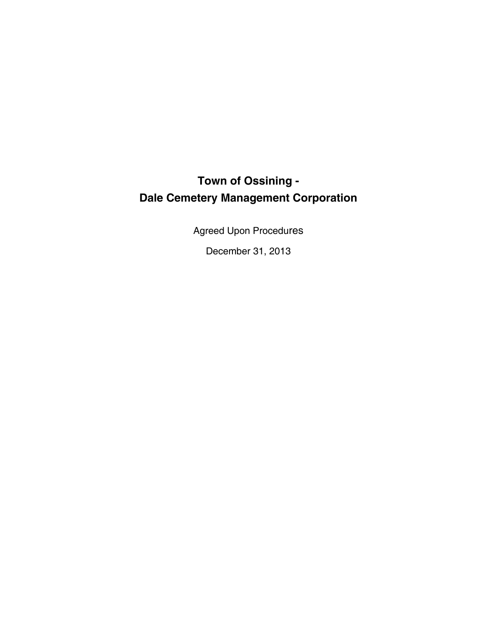# **Town of Ossining - Dale Cemetery Management Corporation**

Agreed Upon Procedures

December 31, 2013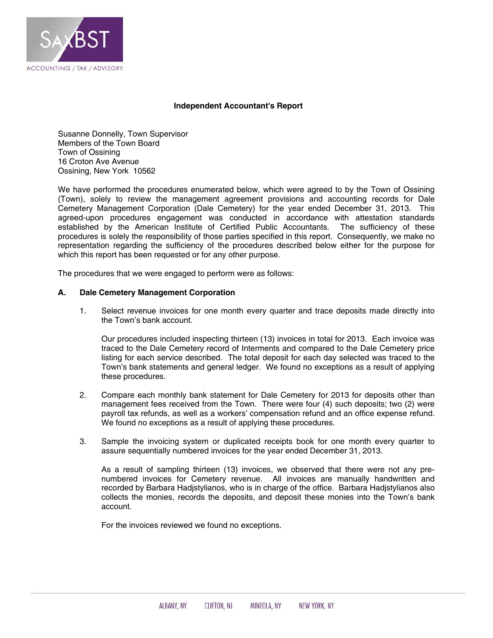

### **Independent Accountant's Report**

Susanne Donnelly, Town Supervisor Members of the Town Board Town of Ossining 16 Croton Ave Avenue Ossining, New York 10562

We have performed the procedures enumerated below, which were agreed to by the Town of Ossining (Town), solely to review the management agreement provisions and accounting records for Dale Cemetery Management Corporation (Dale Cemetery) for the year ended December 31, 2013. This agreed-upon procedures engagement was conducted in accordance with attestation standards established by the American Institute of Certified Public Accountants. The sufficiency of these procedures is solely the responsibility of those parties specified in this report. Consequently, we make no representation regarding the sufficiency of the procedures described below either for the purpose for which this report has been requested or for any other purpose.

The procedures that we were engaged to perform were as follows:

### **A. Dale Cemetery Management Corporation**

1. Select revenue invoices for one month every quarter and trace deposits made directly into the Town's bank account.

Our procedures included inspecting thirteen (13) invoices in total for 2013. Each invoice was traced to the Dale Cemetery record of Interments and compared to the Dale Cemetery price listing for each service described. The total deposit for each day selected was traced to the Town's bank statements and general ledger. We found no exceptions as a result of applying these procedures.

- 2. Compare each monthly bank statement for Dale Cemetery for 2013 for deposits other than management fees received from the Town. There were four (4) such deposits; two (2) were payroll tax refunds, as well as a workers' compensation refund and an office expense refund. We found no exceptions as a result of applying these procedures.
- 3. Sample the invoicing system or duplicated receipts book for one month every quarter to assure sequentially numbered invoices for the year ended December 31, 2013.

As a result of sampling thirteen (13) invoices, we observed that there were not any prenumbered invoices for Cemetery revenue. All invoices are manually handwritten and recorded by Barbara Hadjstylianos, who is in charge of the office. Barbara Hadjstylianos also collects the monies, records the deposits, and deposit these monies into the Town's bank account.

For the invoices reviewed we found no exceptions.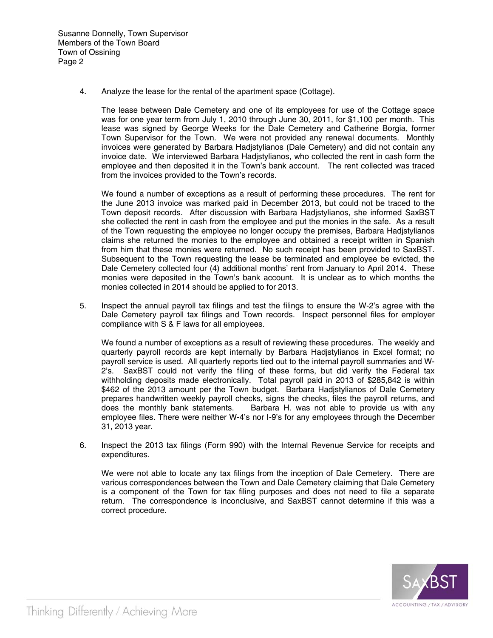4. Analyze the lease for the rental of the apartment space (Cottage).

The lease between Dale Cemetery and one of its employees for use of the Cottage space was for one year term from July 1, 2010 through June 30, 2011, for \$1,100 per month. This lease was signed by George Weeks for the Dale Cemetery and Catherine Borgia, former Town Supervisor for the Town. We were not provided any renewal documents. Monthly invoices were generated by Barbara Hadjstylianos (Dale Cemetery) and did not contain any invoice date. We interviewed Barbara Hadjstylianos, who collected the rent in cash form the employee and then deposited it in the Town's bank account. The rent collected was traced from the invoices provided to the Town's records.

We found a number of exceptions as a result of performing these procedures. The rent for the June 2013 invoice was marked paid in December 2013, but could not be traced to the Town deposit records. After discussion with Barbara Hadjstylianos, she informed SaxBST she collected the rent in cash from the employee and put the monies in the safe. As a result of the Town requesting the employee no longer occupy the premises, Barbara Hadjstylianos claims she returned the monies to the employee and obtained a receipt written in Spanish from him that these monies were returned. No such receipt has been provided to SaxBST. Subsequent to the Town requesting the lease be terminated and employee be evicted, the Dale Cemetery collected four (4) additional months' rent from January to April 2014. These monies were deposited in the Town's bank account. It is unclear as to which months the monies collected in 2014 should be applied to for 2013.

5. Inspect the annual payroll tax filings and test the filings to ensure the W-2's agree with the Dale Cemetery payroll tax filings and Town records. Inspect personnel files for employer compliance with S & F laws for all employees.

We found a number of exceptions as a result of reviewing these procedures. The weekly and quarterly payroll records are kept internally by Barbara Hadjstylianos in Excel format; no payroll service is used. All quarterly reports tied out to the internal payroll summaries and W-2's. SaxBST could not verify the filing of these forms, but did verify the Federal tax withholding deposits made electronically. Total payroll paid in 2013 of \$285,842 is within \$462 of the 2013 amount per the Town budget. Barbara Hadjstylianos of Dale Cemetery prepares handwritten weekly payroll checks, signs the checks, files the payroll returns, and does the monthly bank statements. Barbara H. was not able to provide us with any employee files. There were neither W-4's nor I-9's for any employees through the December 31, 2013 year.

6. Inspect the 2013 tax filings (Form 990) with the Internal Revenue Service for receipts and expenditures.

 We were not able to locate any tax filings from the inception of Dale Cemetery. There are various correspondences between the Town and Dale Cemetery claiming that Dale Cemetery is a component of the Town for tax filing purposes and does not need to file a separate return. The correspondence is inconclusive, and SaxBST cannot determine if this was a correct procedure.

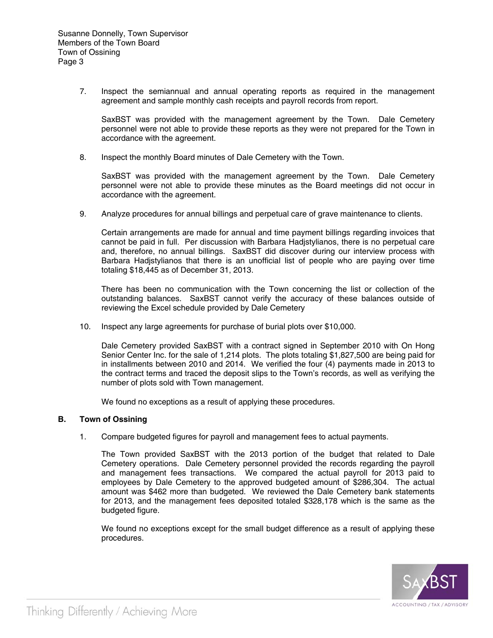7. Inspect the semiannual and annual operating reports as required in the management agreement and sample monthly cash receipts and payroll records from report.

SaxBST was provided with the management agreement by the Town. Dale Cemetery personnel were not able to provide these reports as they were not prepared for the Town in accordance with the agreement.

8. Inspect the monthly Board minutes of Dale Cemetery with the Town.

SaxBST was provided with the management agreement by the Town. Dale Cemetery personnel were not able to provide these minutes as the Board meetings did not occur in accordance with the agreement.

9. Analyze procedures for annual billings and perpetual care of grave maintenance to clients.

Certain arrangements are made for annual and time payment billings regarding invoices that cannot be paid in full. Per discussion with Barbara Hadjstylianos, there is no perpetual care and, therefore, no annual billings. SaxBST did discover during our interview process with Barbara Hadjstylianos that there is an unofficial list of people who are paying over time totaling \$18,445 as of December 31, 2013.

There has been no communication with the Town concerning the list or collection of the outstanding balances. SaxBST cannot verify the accuracy of these balances outside of reviewing the Excel schedule provided by Dale Cemetery

10. Inspect any large agreements for purchase of burial plots over \$10,000.

Dale Cemetery provided SaxBST with a contract signed in September 2010 with On Hong Senior Center Inc. for the sale of 1,214 plots. The plots totaling \$1,827,500 are being paid for in installments between 2010 and 2014. We verified the four (4) payments made in 2013 to the contract terms and traced the deposit slips to the Town's records, as well as verifying the number of plots sold with Town management.

We found no exceptions as a result of applying these procedures.

### **B. Town of Ossining**

1. Compare budgeted figures for payroll and management fees to actual payments.

The Town provided SaxBST with the 2013 portion of the budget that related to Dale Cemetery operations. Dale Cemetery personnel provided the records regarding the payroll and management fees transactions. We compared the actual payroll for 2013 paid to employees by Dale Cemetery to the approved budgeted amount of \$286,304. The actual amount was \$462 more than budgeted. We reviewed the Dale Cemetery bank statements for 2013, and the management fees deposited totaled \$328,178 which is the same as the budgeted figure.

We found no exceptions except for the small budget difference as a result of applying these procedures.

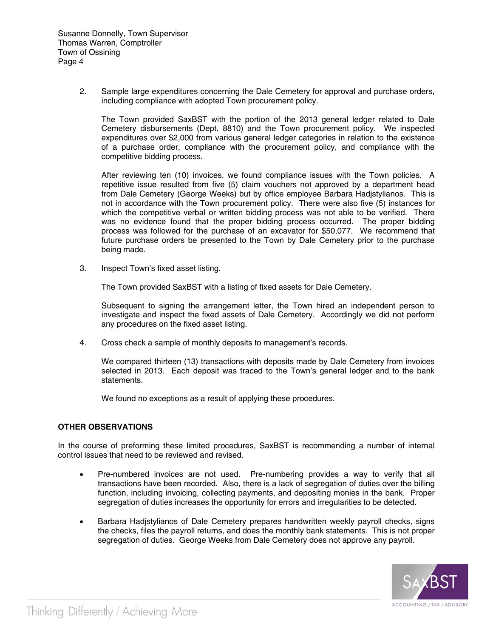2. Sample large expenditures concerning the Dale Cemetery for approval and purchase orders, including compliance with adopted Town procurement policy.

The Town provided SaxBST with the portion of the 2013 general ledger related to Dale Cemetery disbursements (Dept. 8810) and the Town procurement policy. We inspected expenditures over \$2,000 from various general ledger categories in relation to the existence of a purchase order, compliance with the procurement policy, and compliance with the competitive bidding process.

After reviewing ten (10) invoices, we found compliance issues with the Town policies. A repetitive issue resulted from five (5) claim vouchers not approved by a department head from Dale Cemetery (George Weeks) but by office employee Barbara Hadjstylianos. This is not in accordance with the Town procurement policy. There were also five (5) instances for which the competitive verbal or written bidding process was not able to be verified. There was no evidence found that the proper bidding process occurred. The proper bidding process was followed for the purchase of an excavator for \$50,077. We recommend that future purchase orders be presented to the Town by Dale Cemetery prior to the purchase being made.

3. Inspect Town's fixed asset listing.

The Town provided SaxBST with a listing of fixed assets for Dale Cemetery.

 Subsequent to signing the arrangement letter, the Town hired an independent person to investigate and inspect the fixed assets of Dale Cemetery. Accordingly we did not perform any procedures on the fixed asset listing.

4. Cross check a sample of monthly deposits to management's records.

 We compared thirteen (13) transactions with deposits made by Dale Cemetery from invoices selected in 2013. Each deposit was traced to the Town's general ledger and to the bank statements.

We found no exceptions as a result of applying these procedures.

## **OTHER OBSERVATIONS**

In the course of preforming these limited procedures, SaxBST is recommending a number of internal control issues that need to be reviewed and revised.

- Pre-numbered invoices are not used. Pre-numbering provides a way to verify that all transactions have been recorded. Also, there is a lack of segregation of duties over the billing function, including invoicing, collecting payments, and depositing monies in the bank. Proper segregation of duties increases the opportunity for errors and irregularities to be detected.
- Barbara Hadjstylianos of Dale Cemetery prepares handwritten weekly payroll checks, signs the checks, files the payroll returns, and does the monthly bank statements. This is not proper segregation of duties. George Weeks from Dale Cemetery does not approve any payroll.